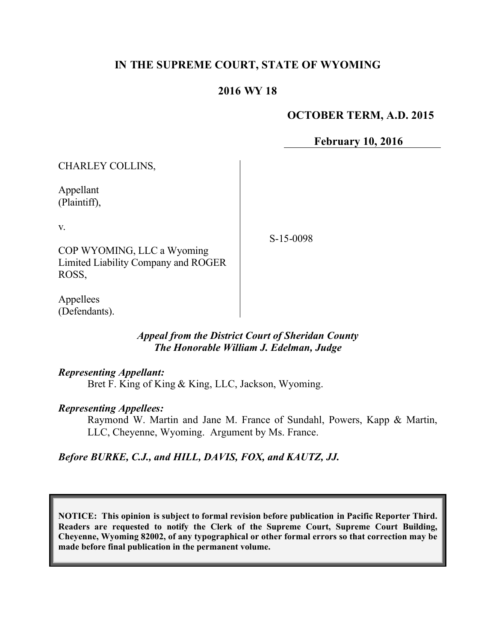# **IN THE SUPREME COURT, STATE OF WYOMING**

# **2016 WY 18**

## **OCTOBER TERM, A.D. 2015**

**February 10, 2016**

CHARLEY COLLINS, Appellant (Plaintiff), v. COP WYOMING, LLC a Wyoming Limited Liability Company and ROGER ROSS, S-15-0098

Appellees (Defendants).

#### *Appeal from the District Court of Sheridan County The Honorable William J. Edelman, Judge*

#### *Representing Appellant:*

Bret F. King of King & King, LLC, Jackson, Wyoming.

#### *Representing Appellees:*

Raymond W. Martin and Jane M. France of Sundahl, Powers, Kapp & Martin, LLC, Cheyenne, Wyoming. Argument by Ms. France.

#### *Before BURKE, C.J., and HILL, DAVIS, FOX, and KAUTZ, JJ.*

**NOTICE: This opinion is subject to formal revision before publication in Pacific Reporter Third. Readers are requested to notify the Clerk of the Supreme Court, Supreme Court Building, Cheyenne, Wyoming 82002, of any typographical or other formal errors so that correction may be made before final publication in the permanent volume.**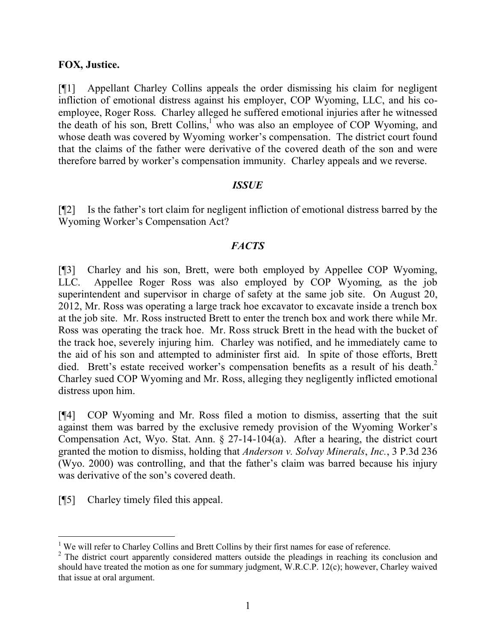## **FOX, Justice.**

[¶1] Appellant Charley Collins appeals the order dismissing his claim for negligent infliction of emotional distress against his employer, COP Wyoming, LLC, and his coemployee, Roger Ross. Charley alleged he suffered emotional injuries after he witnessed the death of his son, Brett Collins,<sup>1</sup> who was also an employee of COP Wyoming, and whose death was covered by Wyoming worker's compensation. The district court found that the claims of the father were derivative of the covered death of the son and were therefore barred by worker's compensation immunity. Charley appeals and we reverse.

## *ISSUE*

[¶2] Is the father's tort claim for negligent infliction of emotional distress barred by the Wyoming Worker's Compensation Act?

## *FACTS*

[¶3] Charley and his son, Brett, were both employed by Appellee COP Wyoming, LLC. Appellee Roger Ross was also employed by COP Wyoming, as the job superintendent and supervisor in charge of safety at the same job site. On August 20, 2012, Mr. Ross was operating a large track hoe excavator to excavate inside a trench box at the job site. Mr. Ross instructed Brett to enter the trench box and work there while Mr. Ross was operating the track hoe. Mr. Ross struck Brett in the head with the bucket of the track hoe, severely injuring him. Charley was notified, and he immediately came to the aid of his son and attempted to administer first aid. In spite of those efforts, Brett died. Brett's estate received worker's compensation benefits as a result of his death.<sup>2</sup> Charley sued COP Wyoming and Mr. Ross, alleging they negligently inflicted emotional distress upon him.

[¶4] COP Wyoming and Mr. Ross filed a motion to dismiss, asserting that the suit against them was barred by the exclusive remedy provision of the Wyoming Worker's Compensation Act, Wyo. Stat. Ann. § 27-14-104(a). After a hearing, the district court granted the motion to dismiss, holding that *Anderson v. Solvay Minerals*, *Inc.*, 3 P.3d 236 (Wyo. 2000) was controlling, and that the father's claim was barred because his injury was derivative of the son's covered death.

[¶5] Charley timely filed this appeal.

<sup>&</sup>lt;sup>1</sup> We will refer to Charley Collins and Brett Collins by their first names for ease of reference.

<sup>&</sup>lt;sup>2</sup> The district court apparently considered matters outside the pleadings in reaching its conclusion and should have treated the motion as one for summary judgment, W.R.C.P. 12(c); however, Charley waived that issue at oral argument.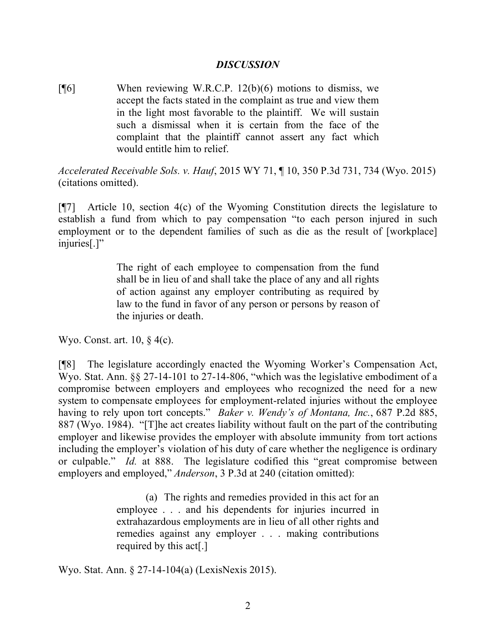### *DISCUSSION*

 $[$ <del>[</del>[6] When reviewing W.R.C.P. 12(b)(6) motions to dismiss, we accept the facts stated in the complaint as true and view them in the light most favorable to the plaintiff. We will sustain such a dismissal when it is certain from the face of the complaint that the plaintiff cannot assert any fact which would entitle him to relief.

*Accelerated Receivable Sols. v. Hauf*, 2015 WY 71, ¶ 10, 350 P.3d 731, 734 (Wyo. 2015) (citations omitted).

[¶7] Article 10, section 4(c) of the Wyoming Constitution directs the legislature to establish a fund from which to pay compensation "to each person injured in such employment or to the dependent families of such as die as the result of [workplace] injuries[.]"

> The right of each employee to compensation from the fund shall be in lieu of and shall take the place of any and all rights of action against any employer contributing as required by law to the fund in favor of any person or persons by reason of the injuries or death.

Wyo. Const. art. 10, § 4(c).

[¶8] The legislature accordingly enacted the Wyoming Worker's Compensation Act, Wyo. Stat. Ann. §§ 27-14-101 to 27-14-806, "which was the legislative embodiment of a compromise between employers and employees who recognized the need for a new system to compensate employees for employment-related injuries without the employee having to rely upon tort concepts." *Baker v. Wendy's of Montana, Inc.*, 687 P.2d 885, 887 (Wyo. 1984). "[T]he act creates liability without fault on the part of the contributing employer and likewise provides the employer with absolute immunity from tort actions including the employer's violation of his duty of care whether the negligence is ordinary or culpable." *Id.* at 888. The legislature codified this "great compromise between employers and employed," *Anderson*, 3 P.3d at 240 (citation omitted):

> (a) The rights and remedies provided in this act for an employee . . . and his dependents for injuries incurred in extrahazardous employments are in lieu of all other rights and remedies against any employer . . . making contributions required by this act[.]

Wyo. Stat. Ann. § 27-14-104(a) (LexisNexis 2015).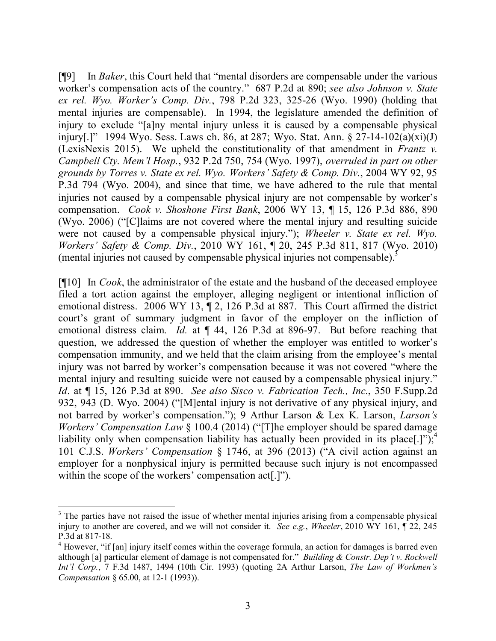[¶9] In *Baker*, this Court held that "mental disorders are compensable under the various worker's compensation acts of the country." 687 P.2d at 890; *see also Johnson v. State ex rel. Wyo. Worker's Comp. Div.*, 798 P.2d 323, 325-26 (Wyo. 1990) (holding that mental injuries are compensable). In 1994, the legislature amended the definition of injury to exclude "[a]ny mental injury unless it is caused by a compensable physical injury[.]" 1994 Wyo. Sess. Laws ch. 86, at 287; Wyo. Stat. Ann. § 27-14-102(a)(xi)(J) (LexisNexis 2015). We upheld the constitutionality of that amendment in *Frantz v. Campbell Cty. Mem'l Hosp.*, 932 P.2d 750, 754 (Wyo. 1997), *overruled in part on other grounds by Torres v. State ex rel. Wyo. Workers' Safety & Comp. Div.*, 2004 WY 92, 95 P.3d 794 (Wyo. 2004), and since that time, we have adhered to the rule that mental injuries not caused by a compensable physical injury are not compensable by worker's compensation. *Cook v. Shoshone First Bank*, 2006 WY 13, ¶ 15, 126 P.3d 886, 890 (Wyo. 2006) ("[C]laims are not covered where the mental injury and resulting suicide were not caused by a compensable physical injury."); *Wheeler v. State ex rel. Wyo. Workers' Safety & Comp. Div.*, 2010 WY 161, ¶ 20, 245 P.3d 811, 817 (Wyo. 2010) (mental injuries not caused by compensable physical injuries not compensable).<sup>3</sup>

[¶10] In *Cook*, the administrator of the estate and the husband of the deceased employee filed a tort action against the employer, alleging negligent or intentional infliction of emotional distress. 2006 WY 13, ¶ 2, 126 P.3d at 887. This Court affirmed the district court's grant of summary judgment in favor of the employer on the infliction of emotional distress claim. *Id.* at ¶ 44, 126 P.3d at 896-97. But before reaching that question, we addressed the question of whether the employer was entitled to worker's compensation immunity, and we held that the claim arising from the employee's mental injury was not barred by worker's compensation because it was not covered "where the mental injury and resulting suicide were not caused by a compensable physical injury." *Id*. at ¶ 15, 126 P.3d at 890. *See also Sisco v. Fabrication Tech., Inc.*, 350 F.Supp.2d 932, 943 (D. Wyo. 2004) ("[M]ental injury is not derivative of any physical injury, and not barred by worker's compensation."); 9 Arthur Larson & Lex K. Larson, *Larson's Workers' Compensation Law* § 100.4 (2014) ("[T]he employer should be spared damage liability only when compensation liability has actually been provided in its place[.]");<sup>4</sup> 101 C.J.S. *Workers' Compensation* § 1746, at 396 (2013) ("A civil action against an employer for a nonphysical injury is permitted because such injury is not encompassed within the scope of the workers' compensation act[.]").

<sup>&</sup>lt;sup>3</sup> The parties have not raised the issue of whether mental injuries arising from a compensable physical injury to another are covered, and we will not consider it. *See e.g.*, *Wheeler*, 2010 WY 161, ¶ 22, 245 P.3d at 817-18.

<sup>&</sup>lt;sup>4</sup> However, "if [an] injury itself comes within the coverage formula, an action for damages is barred even although [a] particular element of damage is not compensated for." *Building & Constr. Dep't v. Rockwell Int'l Corp.*, 7 F.3d 1487, 1494 (10th Cir. 1993) (quoting 2A Arthur Larson, *The Law of Workmen's Compensation* § 65.00, at 12-1 (1993)).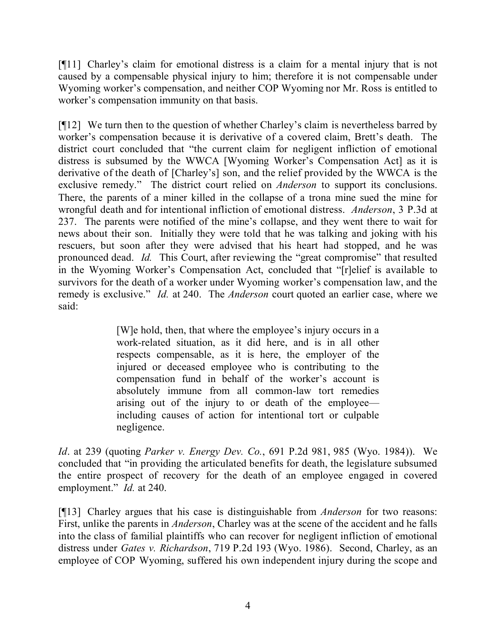[¶11] Charley's claim for emotional distress is a claim for a mental injury that is not caused by a compensable physical injury to him; therefore it is not compensable under Wyoming worker's compensation, and neither COP Wyoming nor Mr. Ross is entitled to worker's compensation immunity on that basis.

[¶12] We turn then to the question of whether Charley's claim is nevertheless barred by worker's compensation because it is derivative of a covered claim, Brett's death. The district court concluded that "the current claim for negligent infliction of emotional distress is subsumed by the WWCA [Wyoming Worker's Compensation Act] as it is derivative of the death of [Charley's] son, and the relief provided by the WWCA is the exclusive remedy." The district court relied on *Anderson* to support its conclusions. There, the parents of a miner killed in the collapse of a trona mine sued the mine for wrongful death and for intentional infliction of emotional distress. *Anderson*, 3 P.3d at 237. The parents were notified of the mine's collapse, and they went there to wait for news about their son. Initially they were told that he was talking and joking with his rescuers, but soon after they were advised that his heart had stopped, and he was pronounced dead. *Id.* This Court, after reviewing the "great compromise" that resulted in the Wyoming Worker's Compensation Act, concluded that "[r]elief is available to survivors for the death of a worker under Wyoming worker's compensation law, and the remedy is exclusive." *Id.* at 240. The *Anderson* court quoted an earlier case, where we said:

> [W]e hold, then, that where the employee's injury occurs in a work-related situation, as it did here, and is in all other respects compensable, as it is here, the employer of the injured or deceased employee who is contributing to the compensation fund in behalf of the worker's account is absolutely immune from all common-law tort remedies arising out of the injury to or death of the employee including causes of action for intentional tort or culpable negligence.

*Id*. at 239 (quoting *Parker v. Energy Dev. Co.*, 691 P.2d 981, 985 (Wyo. 1984)). We concluded that "in providing the articulated benefits for death, the legislature subsumed the entire prospect of recovery for the death of an employee engaged in covered employment." *Id.* at 240.

[¶13] Charley argues that his case is distinguishable from *Anderson* for two reasons: First, unlike the parents in *Anderson*, Charley was at the scene of the accident and he falls into the class of familial plaintiffs who can recover for negligent infliction of emotional distress under *Gates v. Richardson*, 719 P.2d 193 (Wyo. 1986). Second, Charley, as an employee of COP Wyoming, suffered his own independent injury during the scope and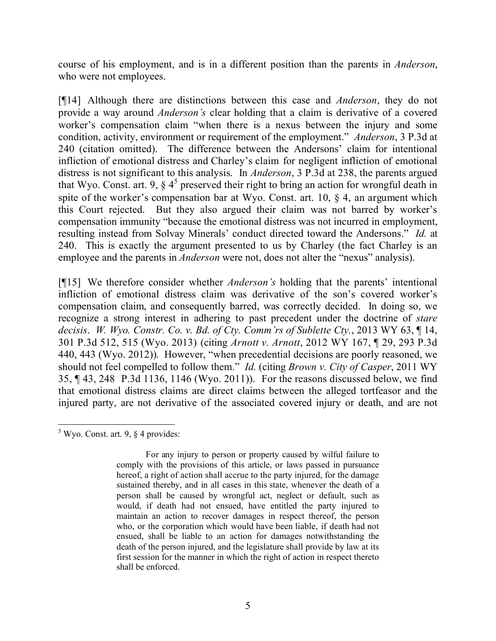course of his employment, and is in a different position than the parents in *Anderson*, who were not employees.

[¶14] Although there are distinctions between this case and *Anderson*, they do not provide a way around *Anderson's* clear holding that a claim is derivative of a covered worker's compensation claim "when there is a nexus between the injury and some condition, activity, environment or requirement of the employment." *Anderson*, 3 P.3d at 240 (citation omitted). The difference between the Andersons' claim for intentional infliction of emotional distress and Charley's claim for negligent infliction of emotional distress is not significant to this analysis. In *Anderson*, 3 P.3d at 238, the parents argued that Wyo. Const. art. 9,  $\S 4^5$  preserved their right to bring an action for wrongful death in spite of the worker's compensation bar at Wyo. Const. art. 10,  $\&$  4, an argument which this Court rejected. But they also argued their claim was not barred by worker's compensation immunity "because the emotional distress was not incurred in employment, resulting instead from Solvay Minerals' conduct directed toward the Andersons." *Id.* at 240. This is exactly the argument presented to us by Charley (the fact Charley is an employee and the parents in *Anderson* were not, does not alter the "nexus" analysis).

[¶15] We therefore consider whether *Anderson's* holding that the parents' intentional infliction of emotional distress claim was derivative of the son's covered worker's compensation claim, and consequently barred, was correctly decided. In doing so, we recognize a strong interest in adhering to past precedent under the doctrine of *stare decisis*. *W. Wyo. Constr. Co. v. Bd. of Cty. Comm'rs of Sublette Cty.*, 2013 WY 63, ¶ 14, 301 P.3d 512, 515 (Wyo. 2013) (citing *Arnott v. Arnott*, 2012 WY 167, ¶ 29, 293 P.3d 440, 443 (Wyo. 2012)). However, "when precedential decisions are poorly reasoned, we should not feel compelled to follow them." *Id.* (citing *Brown v. City of Casper*, 2011 WY 35, ¶ 43, 248 P.3d 1136, 1146 (Wyo. 2011)). For the reasons discussed below, we find that emotional distress claims are direct claims between the alleged tortfeasor and the injured party, are not derivative of the associated covered injury or death, and are not

  $5$  Wyo. Const. art. 9,  $\S$  4 provides:

For any injury to person or property caused by wilful failure to comply with the provisions of this article, or laws passed in pursuance hereof, a right of action shall accrue to the party injured, for the damage sustained thereby, and in all cases in this state, whenever the death of a person shall be caused by wrongful act, neglect or default, such as would, if death had not ensued, have entitled the party injured to maintain an action to recover damages in respect thereof, the person who, or the corporation which would have been liable, if death had not ensued, shall be liable to an action for damages notwithstanding the death of the person injured, and the legislature shall provide by law at its first session for the manner in which the right of action in respect thereto shall be enforced.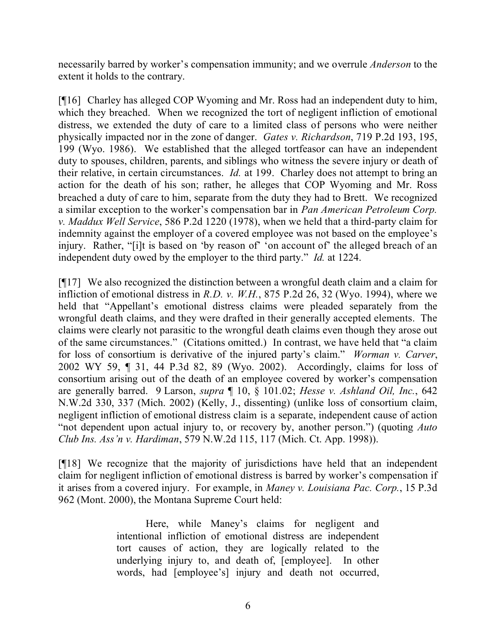necessarily barred by worker's compensation immunity; and we overrule *Anderson* to the extent it holds to the contrary.

[¶16] Charley has alleged COP Wyoming and Mr. Ross had an independent duty to him, which they breached. When we recognized the tort of negligent infliction of emotional distress, we extended the duty of care to a limited class of persons who were neither physically impacted nor in the zone of danger. *Gates v. Richardson*, 719 P.2d 193, 195, 199 (Wyo. 1986). We established that the alleged tortfeasor can have an independent duty to spouses, children, parents, and siblings who witness the severe injury or death of their relative, in certain circumstances. *Id.* at 199. Charley does not attempt to bring an action for the death of his son; rather, he alleges that COP Wyoming and Mr. Ross breached a duty of care to him, separate from the duty they had to Brett. We recognized a similar exception to the worker's compensation bar in *Pan American Petroleum Corp. v. Maddux Well Service*, 586 P.2d 1220 (1978), when we held that a third-party claim for indemnity against the employer of a covered employee was not based on the employee's injury. Rather, "[i]t is based on 'by reason of' 'on account of' the alleged breach of an independent duty owed by the employer to the third party." *Id.* at 1224.

[¶17] We also recognized the distinction between a wrongful death claim and a claim for infliction of emotional distress in *R.D. v. W.H.*, 875 P.2d 26, 32 (Wyo. 1994), where we held that "Appellant's emotional distress claims were pleaded separately from the wrongful death claims, and they were drafted in their generally accepted elements. The claims were clearly not parasitic to the wrongful death claims even though they arose out of the same circumstances." (Citations omitted.) In contrast, we have held that "a claim for loss of consortium is derivative of the injured party's claim." *Worman v. Carver*, 2002 WY 59, ¶ 31, 44 P.3d 82, 89 (Wyo. 2002). Accordingly, claims for loss of consortium arising out of the death of an employee covered by worker's compensation are generally barred. 9 Larson, *supra* ¶ 10, § 101.02; *Hesse v. Ashland Oil, Inc.*, 642 N.W.2d 330, 337 (Mich. 2002) (Kelly, J., dissenting) (unlike loss of consortium claim, negligent infliction of emotional distress claim is a separate, independent cause of action "not dependent upon actual injury to, or recovery by, another person.") (quoting *Auto Club Ins. Ass'n v. Hardiman*, 579 N.W.2d 115, 117 (Mich. Ct. App. 1998)).

[¶18] We recognize that the majority of jurisdictions have held that an independent claim for negligent infliction of emotional distress is barred by worker's compensation if it arises from a covered injury. For example, in *Maney v. Louisiana Pac. Corp.*, 15 P.3d 962 (Mont. 2000), the Montana Supreme Court held:

> Here, while Maney's claims for negligent and intentional infliction of emotional distress are independent tort causes of action, they are logically related to the underlying injury to, and death of, [employee]. In other words, had [employee's] injury and death not occurred,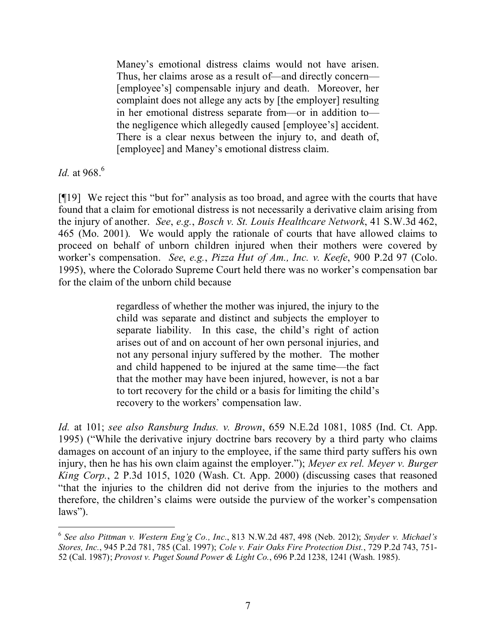Maney's emotional distress claims would not have arisen. Thus, her claims arose as a result of—and directly concern— [employee's] compensable injury and death. Moreover, her complaint does not allege any acts by [the employer] resulting in her emotional distress separate from—or in addition to the negligence which allegedly caused [employee's] accident. There is a clear nexus between the injury to, and death of, [employee] and Maney's emotional distress claim.

*Id.* at 968. 6

[¶19] We reject this "but for" analysis as too broad, and agree with the courts that have found that a claim for emotional distress is not necessarily a derivative claim arising from the injury of another. *See*, *e.g.*, *Bosch v. St. Louis Healthcare Network*, 41 S.W.3d 462, 465 (Mo. 2001). We would apply the rationale of courts that have allowed claims to proceed on behalf of unborn children injured when their mothers were covered by worker's compensation. *See*, *e.g.*, *Pizza Hut of Am., Inc. v. Keefe*, 900 P.2d 97 (Colo. 1995), where the Colorado Supreme Court held there was no worker's compensation bar for the claim of the unborn child because

> regardless of whether the mother was injured, the injury to the child was separate and distinct and subjects the employer to separate liability. In this case, the child's right of action arises out of and on account of her own personal injuries, and not any personal injury suffered by the mother. The mother and child happened to be injured at the same time—the fact that the mother may have been injured, however, is not a bar to tort recovery for the child or a basis for limiting the child's recovery to the workers' compensation law.

*Id.* at 101; *see also Ransburg Indus. v. Brown*, 659 N.E.2d 1081, 1085 (Ind. Ct. App. 1995) ("While the derivative injury doctrine bars recovery by a third party who claims damages on account of an injury to the employee, if the same third party suffers his own injury, then he has his own claim against the employer."); *Meyer ex rel. Meyer v. Burger King Corp.*, 2 P.3d 1015, 1020 (Wash. Ct. App. 2000) (discussing cases that reasoned "that the injuries to the children did not derive from the injuries to the mothers and therefore, the children's claims were outside the purview of the worker's compensation laws").

 6 *See also Pittman v. Western Eng'g Co., Inc.*, 813 N.W.2d 487, 498 (Neb. 2012); *Snyder v. Michael's Stores, Inc.*, 945 P.2d 781, 785 (Cal. 1997); *Cole v. Fair Oaks Fire Protection Dist.*, 729 P.2d 743, 751- 52 (Cal. 1987); *Provost v. Puget Sound Power & Light Co.*, 696 P.2d 1238, 1241 (Wash. 1985).